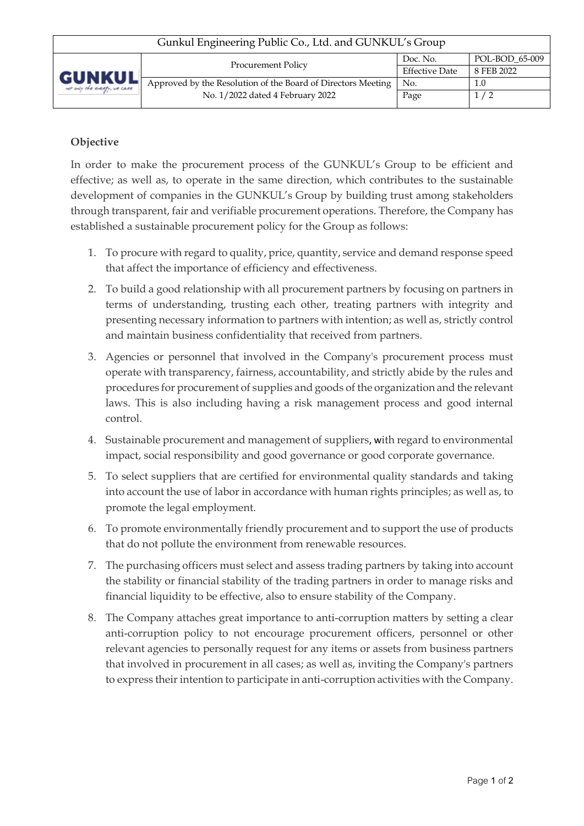## **Objective**

In order to make the procurement process of the GUNKUL's Group to be efficient and effective; as well as, to operate in the same direction, which contributes to the sustainable development of companies in the GUNKUL's Group by building trust among stakeholders through transparent, fair and verifiable procurement operations. Therefore, the Company has established a sustainable procurement policy for the Group as follows:

- 1. To procure with regard to quality, price, quantity, service and demand response speed that affect the importance of efficiency and effectiveness.
- 2. To build a good relationship with all procurement partners by focusing on partners in terms of understanding, trusting each other, treating partners with integrity and presenting necessary information to partners with intention; as well as, strictly control and maintain business confidentiality that received from partners.
- 3. Agencies or personnel that involved in the Company's procurement process must operate with transparency, fairness, accountability, and strictly abide by the rules and procedures for procurement of supplies and goods of the organization and the relevant laws. This is also including having a risk management process and good internal control.
- 4. Sustainable procurement and management of suppliers, with regard to environmental impact, social responsibility and good governance or good corporate governance.
- 5. To select suppliers that are certified for environmental quality standards and taking into account the use of labor in accordance with human rights principles; as well as, to promote the legal employment.
- 6. To promote environmentally friendly procurement and to support the use of products that do not pollute the environment from renewable resources.
- 7. The purchasing officers must select and assess trading partners by taking into account the stability or financial stability of the trading partners in order to manage risks and financial liquidity to be effective, also to ensure stability of the Company.
- 8. The Company attaches great importance to anti-corruption matters by setting a clear anti-corruption policy to not encourage procurement officers, personnel or other relevant agencies to personally request for any items or assets from business partners that involved in procurement in all cases; as well as, inviting the Company's partners to express their intention to participate in anti-corruption activities with the Company.